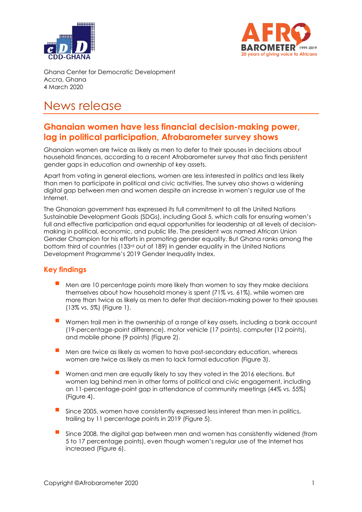



Ghana Center for Democratic Development Accra, Ghana 4 March 2020

# News release

## **Ghanaian women have less financial decision-making power, lag in political participation, Afrobarometer survey shows**

Ghanaian women are twice as likely as men to defer to their spouses in decisions about household finances, according to a recent Afrobarometer survey that also finds persistent gender gaps in education and ownership of key assets.

Apart from voting in general elections, women are less interested in politics and less likely than men to participate in political and civic activities. The survey also shows a widening digital gap between men and women despite an increase in women's regular use of the Internet.

The Ghanaian government has expressed its full commitment to all the United Nations Sustainable Development Goals (SDGs), including Goal 5, which calls for ensuring women's full and effective participation and equal opportunities for leadership at all levels of decisionmaking in political, economic, and public life. The president was named African Union Gender Champion for his efforts in promoting gender equality. But Ghana ranks among the bottom third of countries (133rd out of 189) in gender equality in the United Nations Development Programme's 2019 Gender Inequality Index.

### **Key findings**

- Men are 10 percentage points more likely than women to say they make decisions themselves about how household money is spent (71% vs. 61%), while women are more than twice as likely as men to defer that decision-making power to their spouses (13% vs. 5%) (Figure 1).
- Women trail men in the ownership of a range of key assets, including a bank account (19-percentage-point difference), motor vehicle (17 points), computer (12 points), and mobile phone (9 points) (Figure 2).
- Men are twice as likely as women to have post-secondary education, whereas women are twice as likely as men to lack formal education (Figure 3).
- Women and men are equally likely to say they voted in the 2016 elections. But women lag behind men in other forms of political and civic engagement, including an 11-percentage-point gap in attendance of community meetings (44% vs. 55%) (Figure 4).
- Since 2005, women have consistently expressed less interest than men in politics, trailing by 11 percentage points in 2019 (Figure 5).
- Since 2008, the digital gap between men and women has consistently widened (from 5 to 17 percentage points), even though women's regular use of the Internet has increased (Figure 6).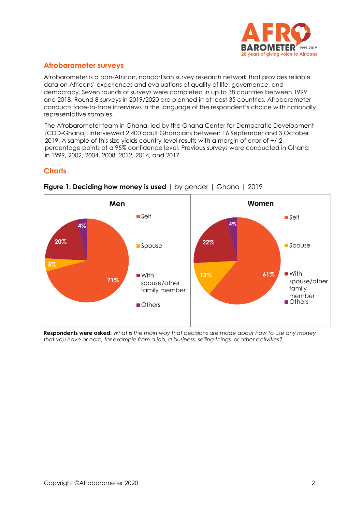

### **Afrobarometer surveys**

Afrobarometer is a pan-African, nonpartisan survey research network that provides reliable data on Africans' experiences and evaluations of quality of life, governance, and democracy. Seven rounds of surveys were completed in up to 38 countries between 1999 and 2018. Round 8 surveys in 2019/2020 are planned in at least 35 countries. Afrobarometer conducts face-to-face interviews in the language of the respondent's choice with nationally representative samples.

The Afrobarometer team in Ghana, led by the Ghana Center for Democratic Development (CDD-Ghana), interviewed 2,400 adult Ghanaians between 16 September and 3 October 2019. A sample of this size yields country-level results with a margin of error of +/-2 percentage points at a 95% confidence level. Previous surveys were conducted in Ghana in 1999, 2002, 2004, 2008, 2012, 2014, and 2017.

### **Charts**



#### **Figure 1: Deciding how money is used** | by gender | Ghana | 2019

**Respondents were asked:** *What is the main way that decisions are made about how to use any money that you have or earn, for example from a job, a business, selling things, or other activities?*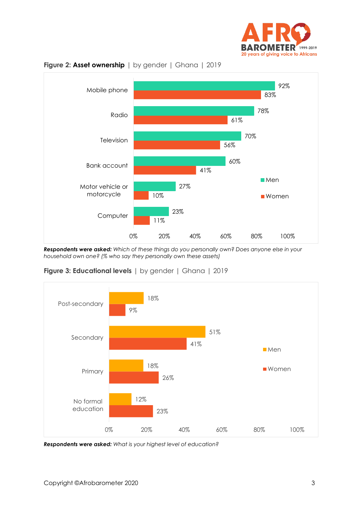



**Figure 2: Asset ownership** | by gender | Ghana | 2019

*Respondents were asked: Which of these things do you personally own? Does anyone else in your household own one? (% who say they personally own these assets)*





*Respondents were asked: What is your highest level of education?*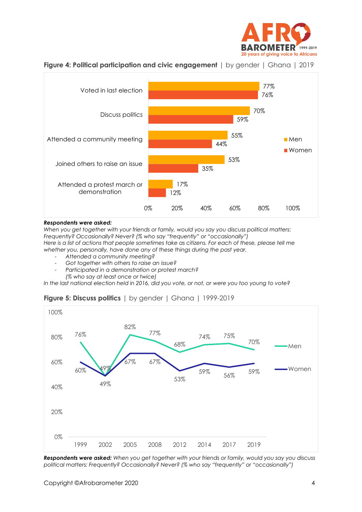





#### *Respondents were asked:*

*When you get together with your friends or family, would you say you discuss political matters: Frequently? Occasionally? Never? (% who say "frequently" or "occasionally") Here is a list of actions that people sometimes take as citizens. For each of these, please tell me whether you, personally, have done any of these things during the past year.*

- *Attended a community meeting?*
- *Got together with others to raise an issue?*
- *Participated in a demonstration or protest march?*
	- *(% who say at least once or twice)*

*In the last national election held in 2016, did you vote, or not, or were you too young to vote?*

#### **Figure 5: Discuss politics** | by gender | Ghana | 1999-2019



*Respondents were asked: When you get together with your friends or family, would you say you discuss political matters: Frequently? Occasionally? Never? (% who say "frequently" or "occasionally")*